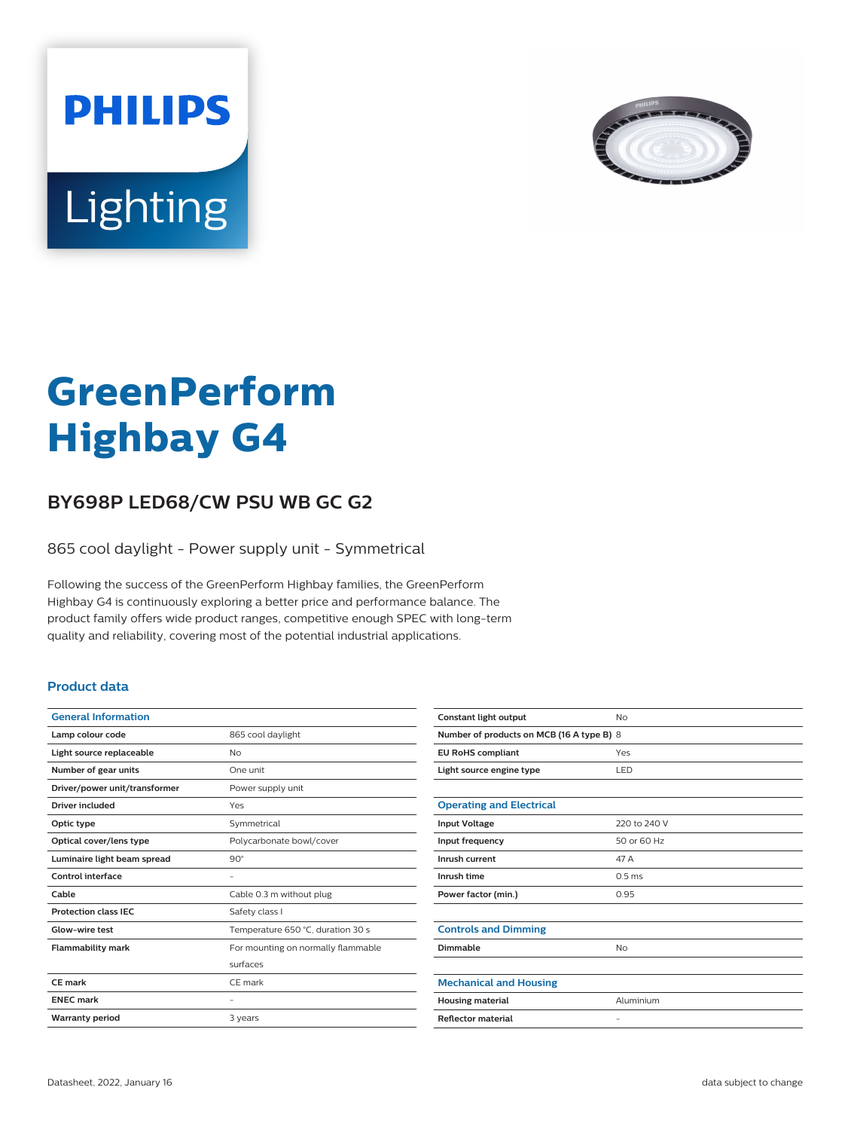



# **GreenPerform Highbay G4**

## **BY698P LED68/CW PSU WB GC G2**

865 cool daylight - Power supply unit - Symmetrical

Following the success of the GreenPerform Highbay families, the GreenPerform Highbay G4 is continuously exploring a better price and performance balance. The product family offers wide product ranges, competitive enough SPEC with long-term quality and reliability, covering most of the potential industrial applications.

#### **Product data**

| <b>General Information</b>    |                                    |
|-------------------------------|------------------------------------|
| Lamp colour code              | 865 cool daylight                  |
| Light source replaceable      | No                                 |
| Number of gear units          | One unit                           |
| Driver/power unit/transformer | Power supply unit                  |
| Driver included               | Yes                                |
| Optic type                    | Symmetrical                        |
| Optical cover/lens type       | Polycarbonate bowl/cover           |
| Luminaire light beam spread   | $90^\circ$                         |
| Control interface             |                                    |
| Cable                         | Cable 0.3 m without plug           |
| <b>Protection class IEC</b>   | Safety class I                     |
| Glow-wire test                | Temperature 650 °C, duration 30 s  |
| <b>Flammability mark</b>      | For mounting on normally flammable |
|                               | surfaces                           |
| CF mark                       | CF mark                            |
| <b>ENEC mark</b>              |                                    |
| <b>Warranty period</b>        | 3 years                            |
|                               |                                    |

| Constant light output                     | No                |  |
|-------------------------------------------|-------------------|--|
| Number of products on MCB (16 A type B) 8 |                   |  |
| <b>EU RoHS compliant</b>                  | Yes               |  |
| Light source engine type                  | LED               |  |
|                                           |                   |  |
| <b>Operating and Electrical</b>           |                   |  |
| <b>Input Voltage</b>                      | 220 to 240 V      |  |
| Input frequency                           | 50 or 60 Hz       |  |
| Inrush current                            | 47 A              |  |
| Inrush time                               | 0.5 <sub>ms</sub> |  |
| Power factor (min.)                       | 0.95              |  |
|                                           |                   |  |
| <b>Controls and Dimming</b>               |                   |  |
| Dimmable                                  | <b>No</b>         |  |
|                                           |                   |  |
| <b>Mechanical and Housing</b>             |                   |  |
| <b>Housing material</b>                   | Aluminium         |  |
| <b>Reflector material</b>                 | $\qquad \qquad -$ |  |
|                                           |                   |  |